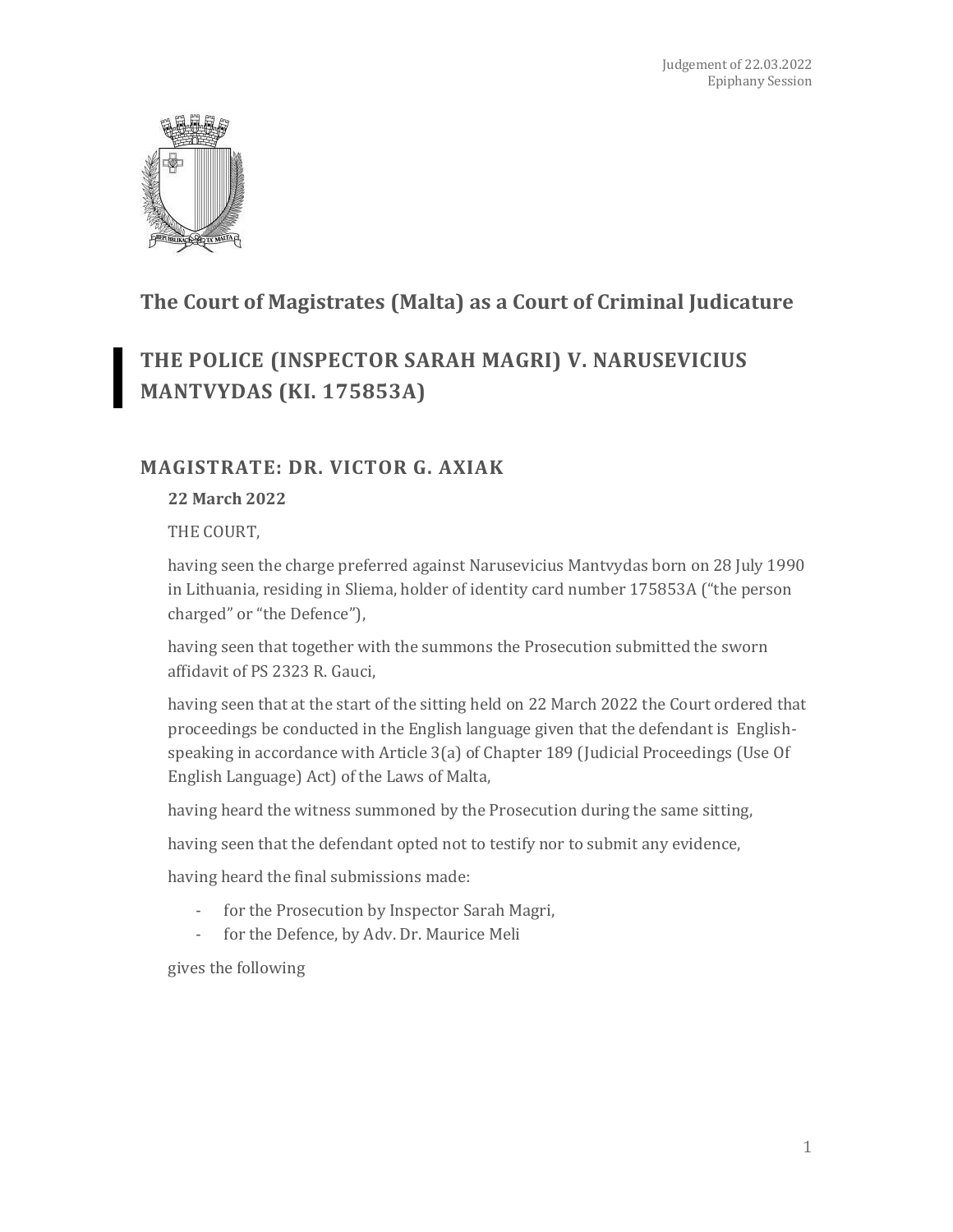

## **The Court of Magistrates (Malta) as a Court of Criminal Judicature**

# **THE POLICE (INSPECTOR SARAH MAGRI) V. NARUSEVICIUS MANTVYDAS (KI. 175853A)**

### **MAGISTRATE: DR. VICTOR G. AXIAK**

#### **22 March 2022**

THE COURT,

having seen the charge preferred against Narusevicius Mantvydas born on 28 July 1990 in Lithuania, residing in Sliema, holder of identity card number 175853A ("the person charged" or "the Defence"),

having seen that together with the summons the Prosecution submitted the sworn affidavit of PS 2323 R. Gauci,

having seen that at the start of the sitting held on 22 March 2022 the Court ordered that proceedings be conducted in the English language given that the defendant is Englishspeaking in accordance with Article 3(a) of Chapter 189 (Judicial Proceedings (Use Of English Language) Act) of the Laws of Malta,

having heard the witness summoned by the Prosecution during the same sitting,

having seen that the defendant opted not to testify nor to submit any evidence,

having heard the final submissions made:

- for the Prosecution by Inspector Sarah Magri,
- for the Defence, by Adv. Dr. Maurice Meli

gives the following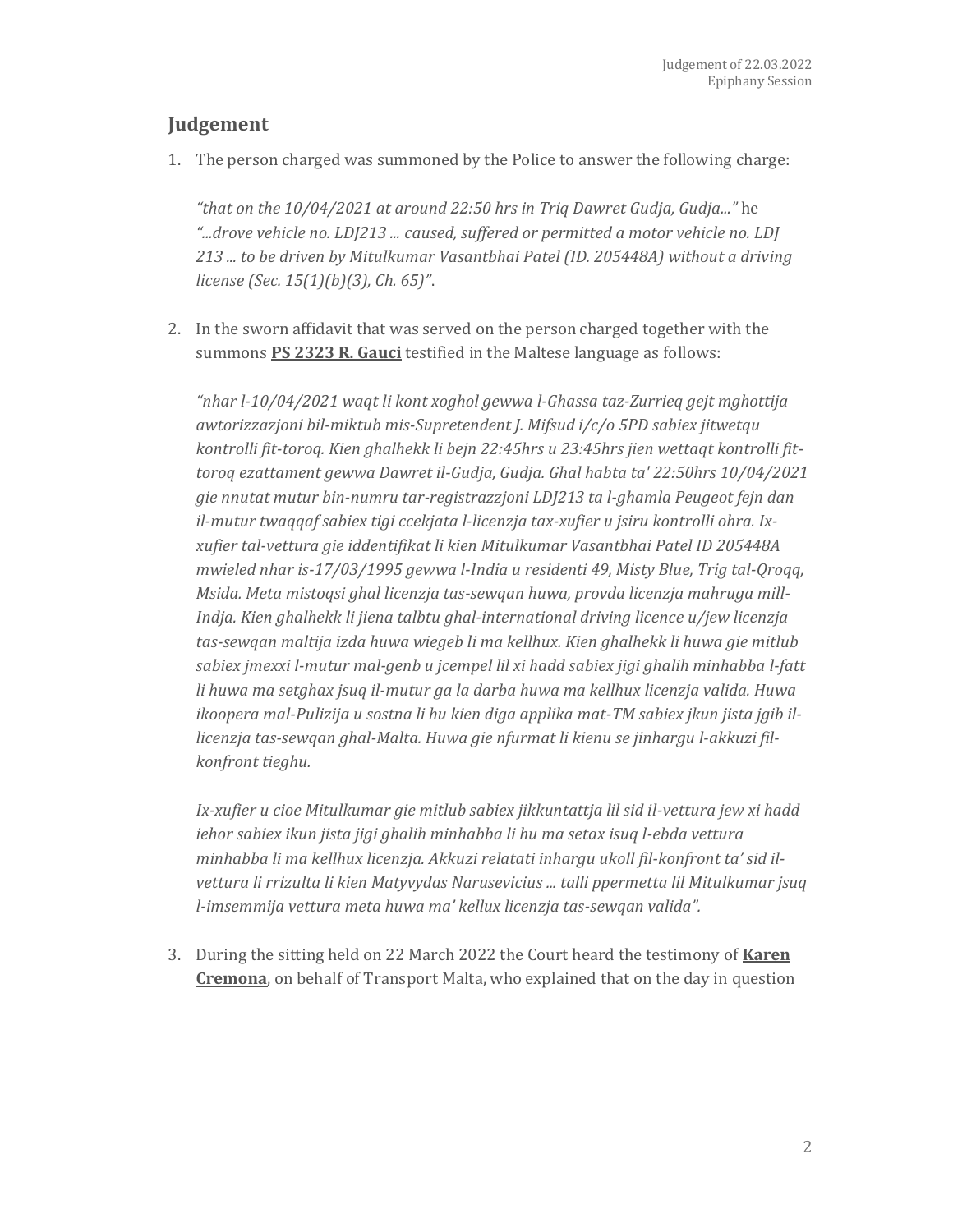### **Judgement**

1. The person charged was summoned by the Police to answer the following charge:

*"that on the 10/04/2021 at around 22:50 hrs in Triq Dawret Gudja, Gudja..."* he *"...drove vehicle no. LDJ213 ... caused, suffered or permitted a motor vehicle no. LDJ 213 ... to be driven by Mitulkumar Vasantbhai Patel (ID. 205448A) without a driving license (Sec. 15(1)(b)(3), Ch. 65)"*.

2. In the sworn affidavit that was served on the person charged together with the summons **PS 2323 R. Gauci** testified in the Maltese language as follows:

*"nhar l-10/04/2021 waqt li kont xoghol gewwa l-Ghassa taz-Zurrieq gejt mghottija awtorizzazjoni bil-miktub mis-Supretendent J. Mifsud i/c/o 5PD sabiex jitwetqu kontrolli fit-toroq. Kien ghalhekk li bejn 22:45hrs u 23:45hrs jien wettaqt kontrolli fittoroq ezattament gewwa Dawret il-Gudja, Gudja. Ghal habta ta' 22:50hrs 10/04/2021 gie nnutat mutur bin-numru tar-registrazzjoni LDJ213 ta l-ghamla Peugeot fejn dan il-mutur twaqqaf sabiex tigi ccekjata l-licenzja tax-xufier u jsiru kontrolli ohra. Ixxufier tal-vettura gie iddentifikat li kien Mitulkumar Vasantbhai Patel ID 205448A mwieled nhar is-17/03/1995 gewwa l-India u residenti 49, Misty Blue, Trig tal-Qroqq, Msida. Meta mistoqsi ghal licenzja tas-sewqan huwa, provda licenzja mahruga mill-Indja. Kien ghalhekk li jiena talbtu ghal-international driving licence u/jew licenzja tas-sewqan maltija izda huwa wiegeb li ma kellhux. Kien ghalhekk li huwa gie mitlub sabiex jmexxi l-mutur mal-genb u jcempel lil xi hadd sabiex jigi ghalih minhabba l-fatt li huwa ma setghax jsuq il-mutur ga la darba huwa ma kellhux licenzja valida. Huwa ikoopera mal-Pulizija u sostna li hu kien diga applika mat-TM sabiex jkun jista jgib illicenzja tas-sewqan ghal-Malta. Huwa gie nfurmat li kienu se jinhargu l-akkuzi filkonfront tieghu.*

*Ix-xufier u cioe Mitulkumar gie mitlub sabiex jikkuntattja lil sid il-vettura jew xi hadd iehor sabiex ikun jista jigi ghalih minhabba li hu ma setax isuq l-ebda vettura minhabba li ma kellhux licenzja. Akkuzi relatati inhargu ukoll fil-konfront ta' sid ilvettura li rrizulta li kien Matyvydas Narusevicius ... talli ppermetta lil Mitulkumar jsuq l-imsemmija vettura meta huwa ma' kellux licenzja tas-sewqan valida".*

3. During the sitting held on 22 March 2022 the Court heard the testimony of **Karen Cremona**, on behalf of Transport Malta, who explained that on the day in question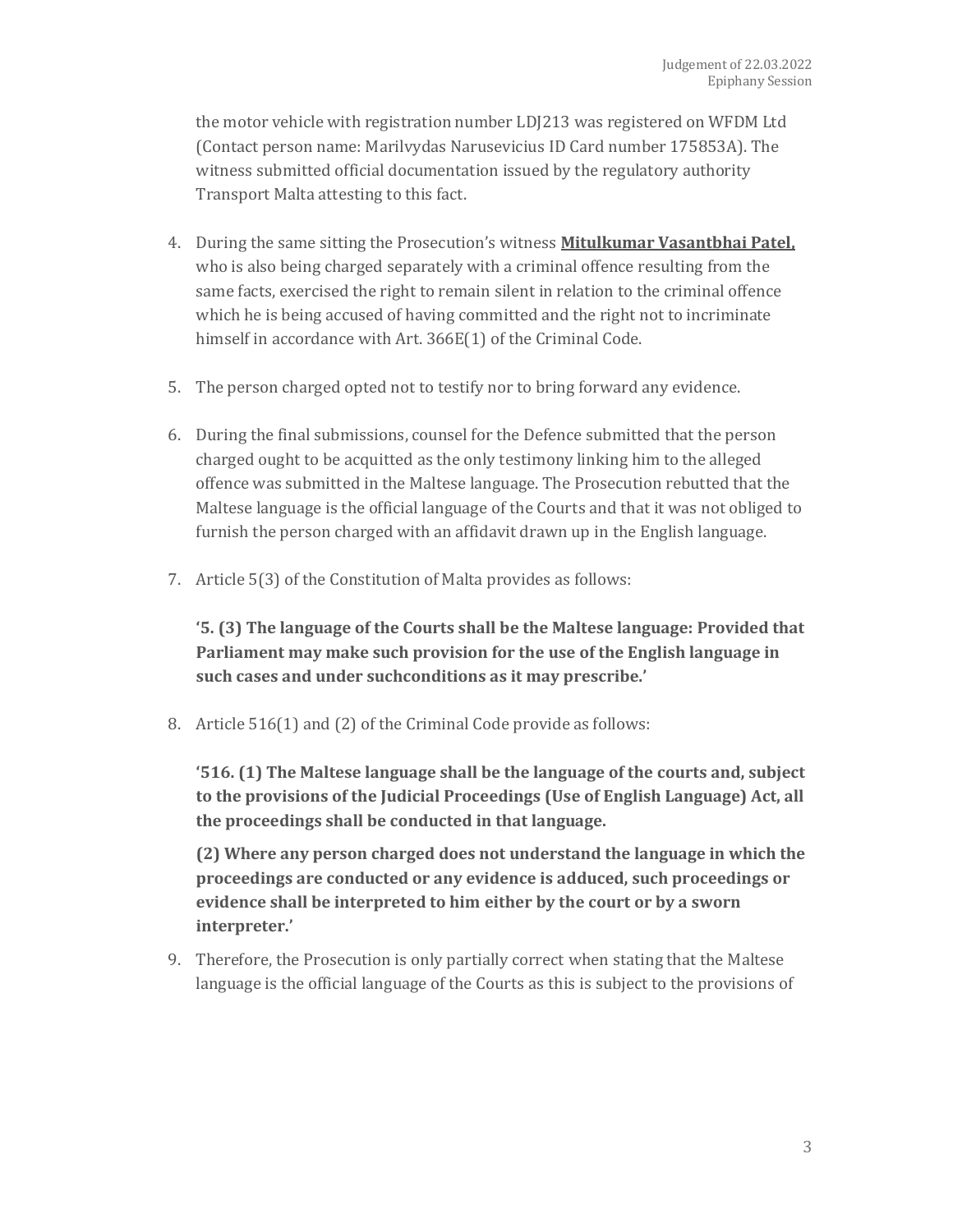the motor vehicle with registration number LDJ213 was registered on WFDM Ltd (Contact person name: Marilvydas Narusevicius ID Card number 175853A). The witness submitted official documentation issued by the regulatory authority Transport Malta attesting to this fact.

- 4. During the same sitting the Prosecution's witness **Mitulkumar Vasantbhai Patel,** who is also being charged separately with a criminal offence resulting from the same facts, exercised the right to remain silent in relation to the criminal offence which he is being accused of having committed and the right not to incriminate himself in accordance with Art. 366E(1) of the Criminal Code.
- 5. The person charged opted not to testify nor to bring forward any evidence.
- 6. During the final submissions, counsel for the Defence submitted that the person charged ought to be acquitted as the only testimony linking him to the alleged offence was submitted in the Maltese language. The Prosecution rebutted that the Maltese language is the official language of the Courts and that it was not obliged to furnish the person charged with an affidavit drawn up in the English language.
- 7. Article 5(3) of the Constitution of Malta provides as follows:

**'5. (3) The language of the Courts shall be the Maltese language: Provided that Parliament may make such provision for the use of the English language in such cases and under suchconditions as it may prescribe.'**

8. Article 516(1) and (2) of the Criminal Code provide as follows:

**'516. (1) The Maltese language shall be the language of the courts and, subject to the provisions of the Judicial Proceedings (Use of English Language) Act, all the proceedings shall be conducted in that language.**

**(2) Where any person charged does not understand the language in which the proceedings are conducted or any evidence is adduced, such proceedings or evidence shall be interpreted to him either by the court or by a sworn interpreter.'**

9. Therefore, the Prosecution is only partially correct when stating that the Maltese language is the official language of the Courts as this is subject to the provisions of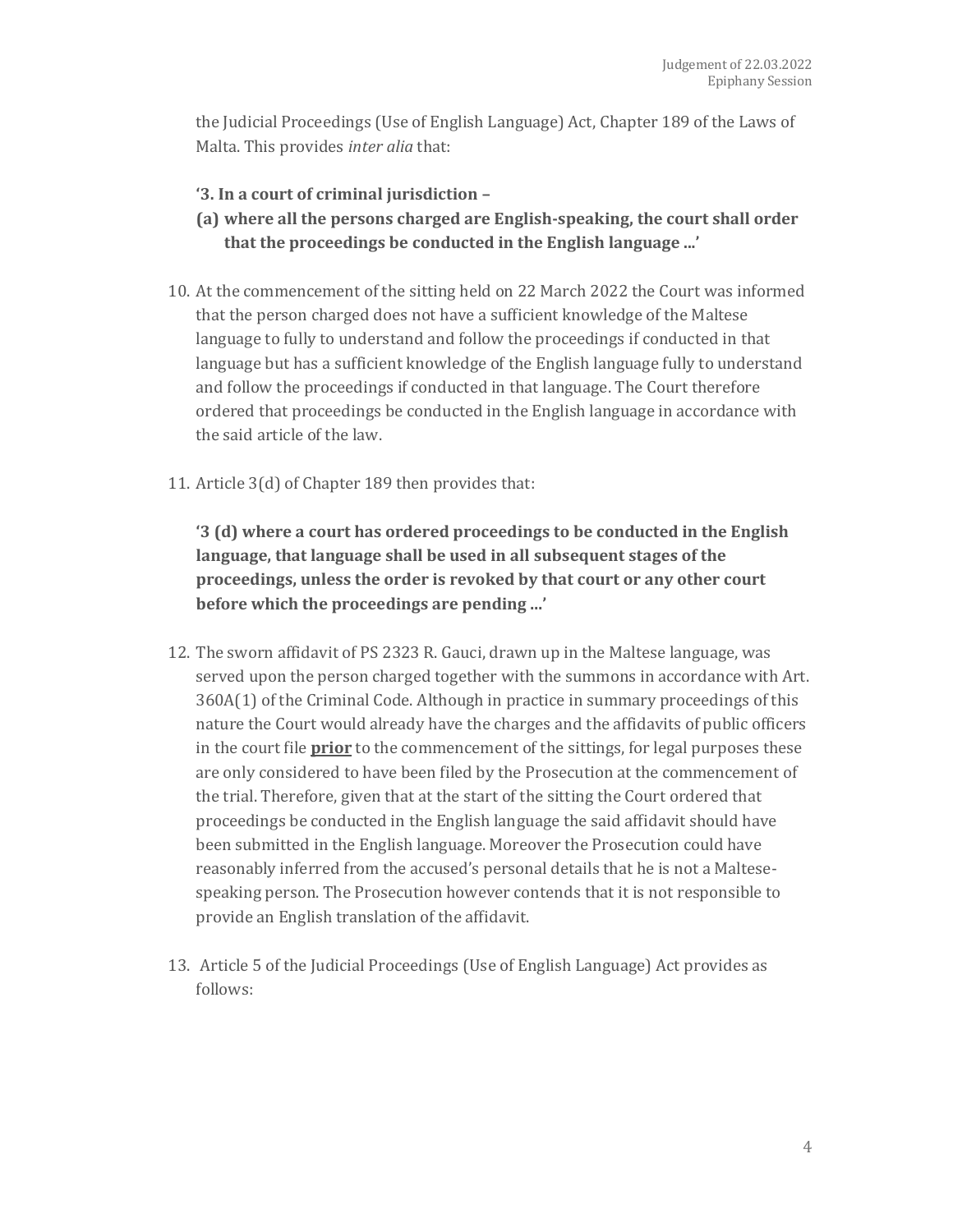the Judicial Proceedings (Use of English Language) Act, Chapter 189 of the Laws of Malta. This provides *inter alia* that:

- **'3. In a court of criminal jurisdiction –**
- **(a) where all the persons charged are English-speaking, the court shall order that the proceedings be conducted in the English language ...'**
- 10. At the commencement of the sitting held on 22 March 2022 the Court was informed that the person charged does not have a sufficient knowledge of the Maltese language to fully to understand and follow the proceedings if conducted in that language but has a sufficient knowledge of the English language fully to understand and follow the proceedings if conducted in that language. The Court therefore ordered that proceedings be conducted in the English language in accordance with the said article of the law.
- 11. Article 3(d) of Chapter 189 then provides that:

**'3 (d) where a court has ordered proceedings to be conducted in the English language, that language shall be used in all subsequent stages of the proceedings, unless the order is revoked by that court or any other court before which the proceedings are pending ...'**

- 12. The sworn affidavit of PS 2323 R. Gauci, drawn up in the Maltese language, was served upon the person charged together with the summons in accordance with Art. 360A(1) of the Criminal Code. Although in practice in summary proceedings of this nature the Court would already have the charges and the affidavits of public officers in the court file **prior** to the commencement of the sittings, for legal purposes these are only considered to have been filed by the Prosecution at the commencement of the trial. Therefore, given that at the start of the sitting the Court ordered that proceedings be conducted in the English language the said affidavit should have been submitted in the English language. Moreover the Prosecution could have reasonably inferred from the accused's personal details that he is not a Maltesespeaking person. The Prosecution however contends that it is not responsible to provide an English translation of the affidavit.
- 13. Article 5 of the Judicial Proceedings (Use of English Language) Act provides as follows: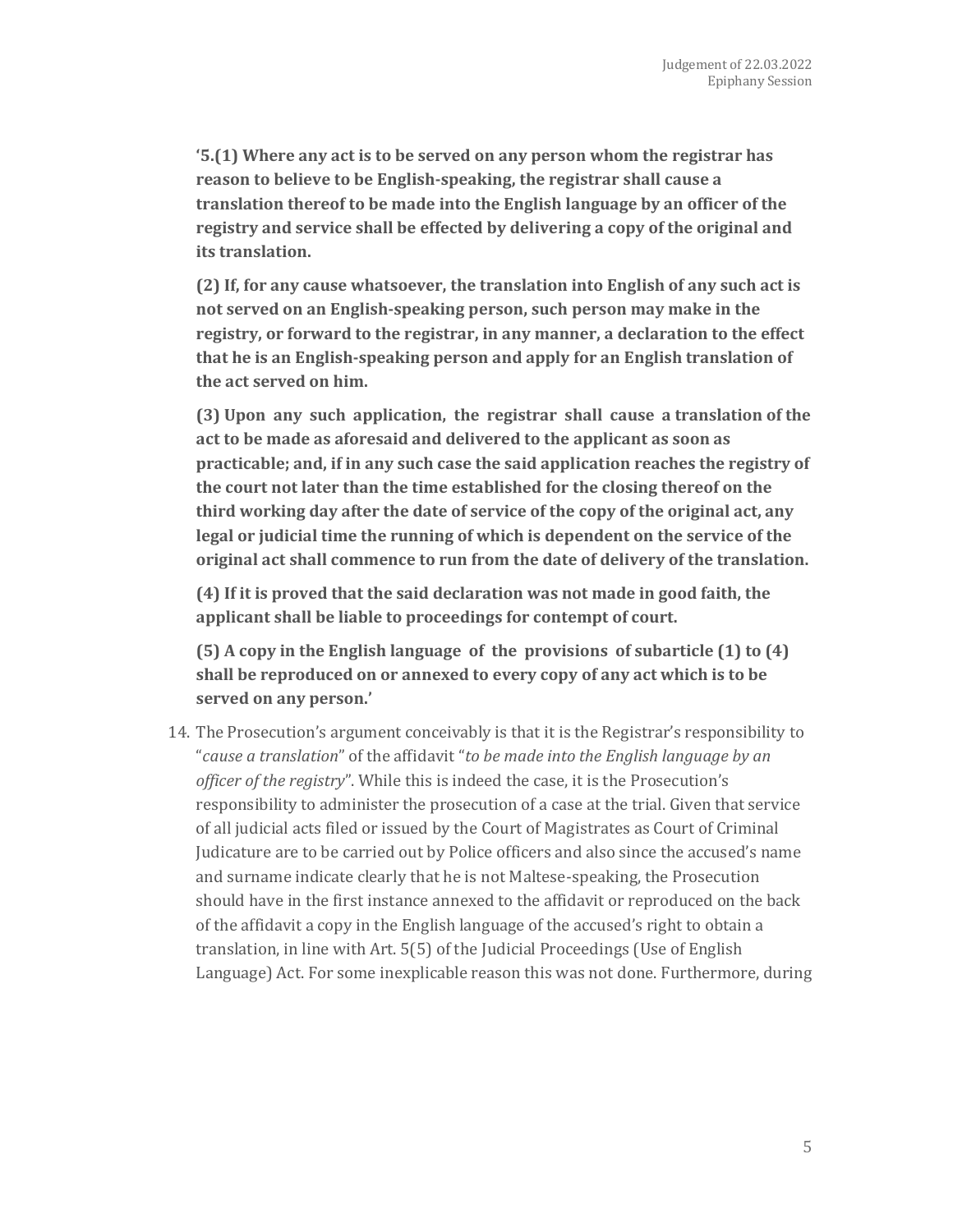**'5.(1) Where any act is to be served on any person whom the registrar has reason to believe to be English-speaking, the registrar shall cause a translation thereof to be made into the English language by an officer of the registry and service shall be effected by delivering a copy of the original and its translation.**

**(2) If, for any cause whatsoever, the translation into English of any such act is not served on an English-speaking person, such person may make in the registry, or forward to the registrar, in any manner, a declaration to the effect that he is an English-speaking person and apply for an English translation of the act served on him.**

**(3) Upon any such application, the registrar shall cause a translation of the act to be made as aforesaid and delivered to the applicant as soon as practicable; and, if in any such case the said application reaches the registry of the court not later than the time established for the closing thereof on the third working day after the date of service of the copy of the original act, any legal or judicial time the running of which is dependent on the service of the original act shall commence to run from the date of delivery of the translation.**

**(4) If it is proved that the said declaration was not made in good faith, the applicant shall be liable to proceedings for contempt of court.**

**(5) A copy in the English language of the provisions of subarticle (1) to (4) shall be reproduced on or annexed to every copy of any act which is to be served on any person.'**

14. The Prosecution's argument conceivably is that it is the Registrar's responsibility to "*cause a translation*" of the affidavit "*to be made into the English language by an officer of the registry*". While this is indeed the case, it is the Prosecution's responsibility to administer the prosecution of a case at the trial. Given that service of all judicial acts filed or issued by the Court of Magistrates as Court of Criminal Judicature are to be carried out by Police officers and also since the accused's name and surname indicate clearly that he is not Maltese-speaking, the Prosecution should have in the first instance annexed to the affidavit or reproduced on the back of the affidavit a copy in the English language of the accused's right to obtain a translation, in line with Art. 5(5) of the Judicial Proceedings (Use of English Language) Act. For some inexplicable reason this was not done. Furthermore, during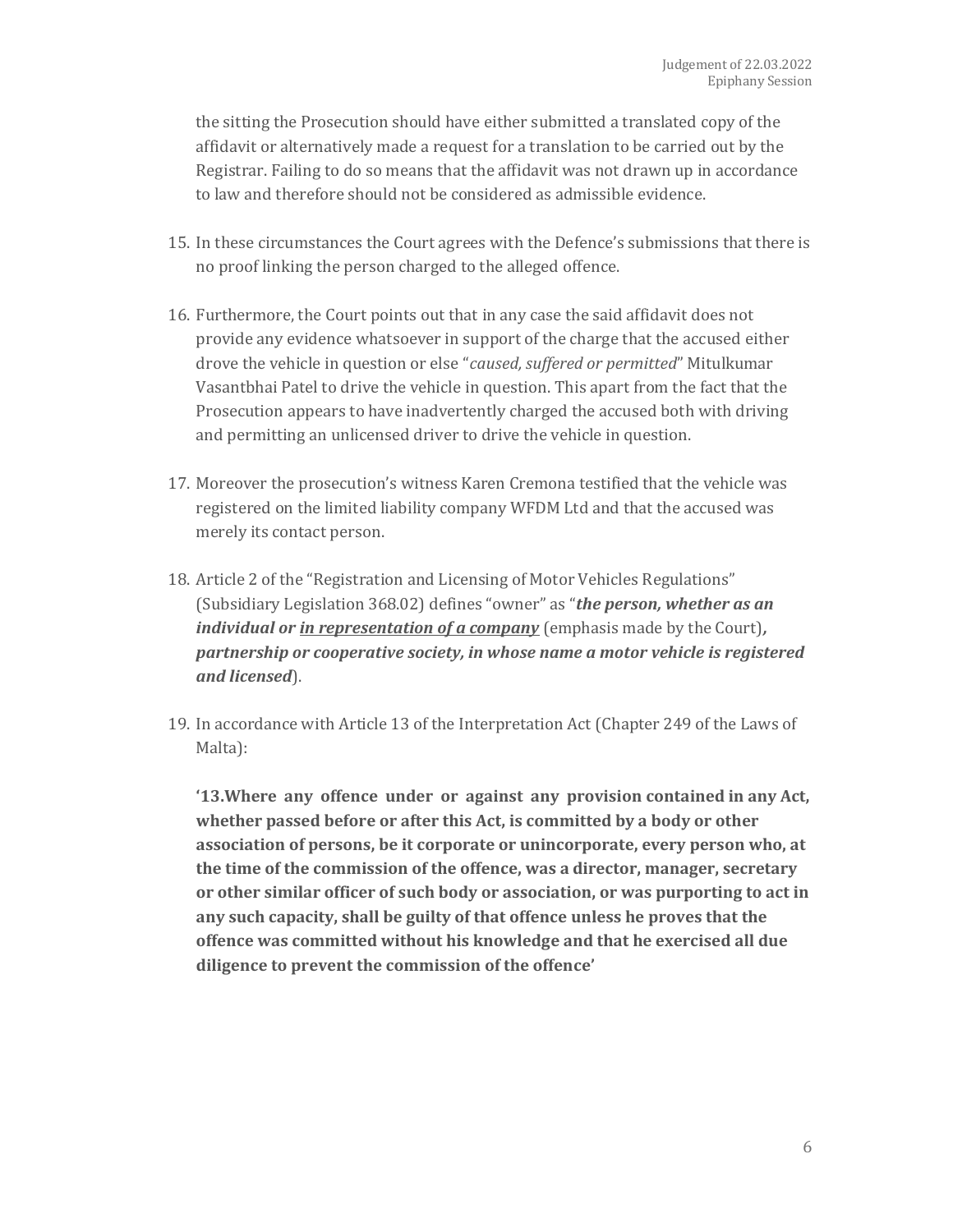the sitting the Prosecution should have either submitted a translated copy of the affidavit or alternatively made a request for a translation to be carried out by the Registrar. Failing to do so means that the affidavit was not drawn up in accordance to law and therefore should not be considered as admissible evidence.

- 15. In these circumstances the Court agrees with the Defence's submissions that there is no proof linking the person charged to the alleged offence.
- 16. Furthermore, the Court points out that in any case the said affidavit does not provide any evidence whatsoever in support of the charge that the accused either drove the vehicle in question or else "*caused, suffered or permitted*" Mitulkumar Vasantbhai Patel to drive the vehicle in question. This apart from the fact that the Prosecution appears to have inadvertently charged the accused both with driving and permitting an unlicensed driver to drive the vehicle in question.
- 17. Moreover the prosecution's witness Karen Cremona testified that the vehicle was registered on the limited liability company WFDM Ltd and that the accused was merely its contact person.
- 18. Article 2 of the "Registration and Licensing of Motor Vehicles Regulations" (Subsidiary Legislation 368.02) defines "owner" as "*the person, whether as an individual or in representation of a company* (emphasis made by the Court)*, partnership or cooperative society, in whose name a motor vehicle is registered and licensed*).
- 19. In accordance with Article 13 of the Interpretation Act (Chapter 249 of the Laws of Malta):

**'13.Where any offence under or against any provision contained in any Act, whether passed before or after this Act, is committed by a body or other association of persons, be it corporate or unincorporate, every person who, at the time of the commission of the offence, was a director, manager, secretary or other similar officer of such body or association, or was purporting to act in any such capacity, shall be guilty of that offence unless he proves that the offence was committed without his knowledge and that he exercised all due diligence to prevent the commission of the offence'**